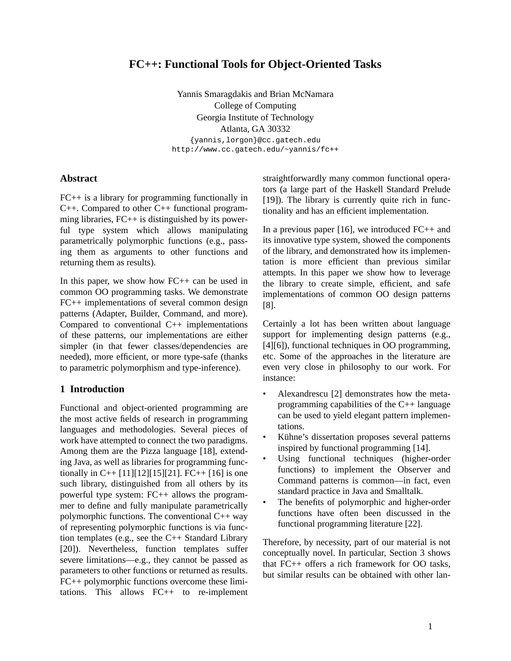# **FC++: Functional Tools for Object-Oriented Tasks**

Yannis Smaragdakis and Brian McNamara College of Computing Georgia Institute of Technology Atlanta, GA 30332 {yannis,lorgon}@cc.gatech.edu http://www.cc.gatech.edu/~yannis/fc++

#### **Abstract**

FC++ is a library for programming functionally in C++. Compared to other C++ functional programming libraries, FC++ is distinguished by its powerful type system which allows manipulating parametrically polymorphic functions (e.g., passing them as arguments to other functions and returning them as results).

In this paper, we show how FC++ can be used in common OO programming tasks. We demonstrate FC++ implementations of several common design patterns (Adapter, Builder, Command, and more). Compared to conventional C++ implementations of these patterns, our implementations are either simpler (in that fewer classes/dependencies are needed), more efficient, or more type-safe (thanks to parametric polymorphism and type-inference).

#### **1 Introduction**

Functional and object-oriented programming are the most active fields of research in programming languages and methodologies. Several pieces of work have attempted to connect the two paradigms. Among them are the Pizza language [\[18\]](#page-13-0), extending Java, as well as libraries for programming functionally in C++  $[11][12][15][21]$ . FC++  $[16]$  is one such library, distinguished from all others by its powerful type system: FC++ allows the programmer to define and fully manipulate parametrically polymorphic functions. The conventional C++ way of representing polymorphic functions is via function templates (e.g., see the C++ Standard Library [\[20\]\)](#page-13-0). Nevertheless, function templates suffer severe limitations—e.g., they cannot be passed as parameters to other functions or returned as results. FC++ polymorphic functions overcome these limitations. This allows FC++ to re-implement straightforwardly many common functional operators (a large part of the Haskell Standard Prelude [\[19\]\)](#page-13-0). The library is currently quite rich in functionality and has an efficient implementation.

In a previous paper [\[16\],](#page-12-0) we introduced FC++ and its innovative type system, showed the components of the library, and demonstrated how its implementation is more efficient than previous similar attempts. In this paper we show how to leverage the library to create simple, efficient, and safe implementations of common OO design patterns [\[8\].](#page-12-0)

Certainly a lot has been written about language support for implementing design patterns (e.g., [\[4\]\[6\]\)](#page-12-0), functional techniques in OO programming, etc. Some of the approaches in the literature are even very close in philosophy to our work. For instance:

- Alexandrescu [\[2\]](#page-12-0) demonstrates how the metaprogramming capabilities of the C++ language can be used to yield elegant pattern implementations.
- Kühne's dissertation proposes several patterns inspired by functional programming [1[4\].](#page-12-0)
- Using functional techniques (higher-order functions) to implement the Observer and Command patterns is common—in fact, even standard practice in Java and Smalltalk.
- The benefits of polymorphic and higher-order functions have often been discussed in the functional programming literature [[22\].](#page-13-0)

Therefore, by necessity, part of our material is not conceptually novel. In particular, [Section 3](#page-3-0) shows that FC++ offers a rich framework for OO tasks, but similar results can be obtained with other lan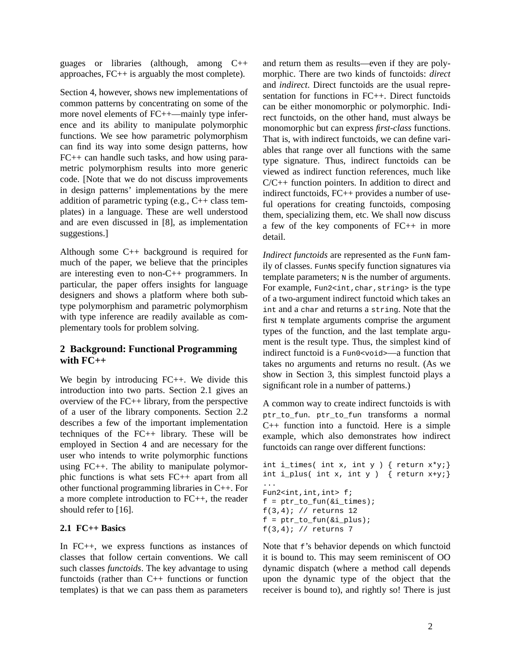guages or libraries (although, among C++ approaches, FC++ is arguably the most complete).

[Section 4,](#page-6-0) however, shows new implementations of common patterns by concentrating on some of the more novel elements of FC++—mainly type inference and its ability to manipulate polymorphic functions. We see how parametric polymorphism can find its way into some design patterns, how FC++ can handle such tasks, and how using parametric polymorphism results into more generic code. [Note that we do not discuss improvements in design patterns' implementations by the mere addition of parametric typing (e.g., C++ class templates) in a language. These are well understood and are even discussed in [\[8\]](#page-12-0), as implementation suggestions.]

Although some C++ background is required for much of the paper, we believe that the principles are interesting even to non-C++ programmers. In particular, the paper offers insights for language designers and shows a platform where both subtype polymorphism and parametric polymorphism with type inference are readily available as complementary tools for problem solving.

## **2 Background: Functional Programming with FC++**

We begin by introducing FC++. We divide this introduction into two parts. Section 2.1 gives an overview of the FC++ library, from the perspective of a user of the library components. [Section 2.2](#page-2-0) describes a few of the important implementation techniques of the FC++ library. These will be employed in [Section 4](#page-6-0) and are necessary for the user who intends to write polymorphic functions using FC++. The ability to manipulate polymorphic functions is what sets FC++ apart from all other functional programming libraries in C++. For a more complete introduction to FC++, the reader should refer to [[16\].](#page-12-0)

## **2.1 FC++ Basics**

In FC++, we express functions as instances of classes that follow certain conventions. We call such classes *functoids*. The key advantage to using functoids (rather than C++ functions or function templates) is that we can pass them as parameters

and return them as results—even if they are polymorphic. There are two kinds of functoids: *direct* and *indirect*. Direct functoids are the usual representation for functions in FC++. Direct functoids can be either monomorphic or polymorphic. Indirect functoids, on the other hand, must always be monomorphic but can express *first-class* functions. That is, with indirect functoids, we can define variables that range over all functions with the same type signature. Thus, indirect functoids can be viewed as indirect function references, much like C/C++ function pointers. In addition to direct and indirect functoids, FC++ provides a number of useful operations for creating functoids, composing them, specializing them, etc. We shall now discuss a few of the key components of FC++ in more detail.

*Indirect functoids* are represented as the FunN family of classes. FunNs specify function signatures via template parameters;  $N$  is the number of arguments. For example, Fun2<int, char, string> is the type of a two-argument indirect functoid which takes an int and a char and returns a string. Note that the first N template arguments comprise the argument types of the function, and the last template argument is the result type. Thus, the simplest kind of indirect functoid is a Fun0<void>—a function that takes no arguments and returns no result. (As we show in [Section 3](#page-3-0), this simplest functoid plays a significant role in a number of patterns.)

A common way to create indirect functoids is with ptr\_to\_fun. ptr\_to\_fun transforms a normal C++ function into a functoid. Here is a simple example, which also demonstrates how indirect functoids can range over different functions:

```
int i_times( int x, int y ) { return x*y; }
int i_plus( int x, int y ) { return x+y; }
...
Fun2<int,int,int> f;
f = ptr_to_fun(\&i_times);f(3,4); // returns 12
f = ptr_to_fun(\&i_plus);f(3,4); // returns 7
```
Note that  $f$ 's behavior depends on which functoid it is bound to. This may seem reminiscent of OO dynamic dispatch (where a method call depends upon the dynamic type of the object that the receiver is bound to), and rightly so! There is just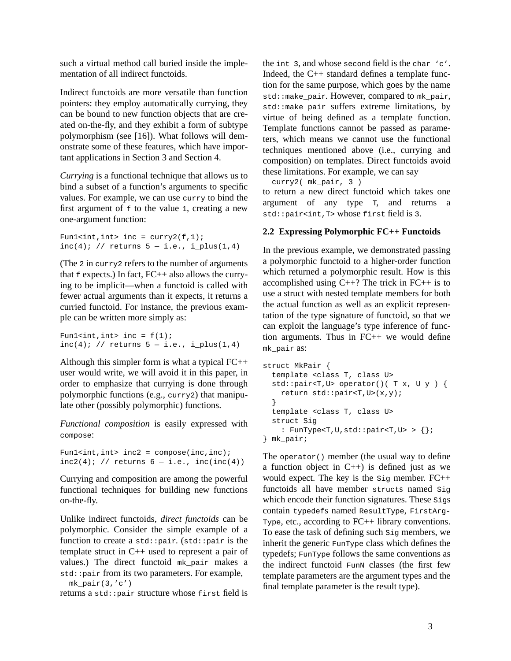<span id="page-2-0"></span>such a virtual method call buried inside the implementation of all indirect functoids.

Indirect functoids are more versatile than function pointers: they employ automatically currying, they can be bound to new function objects that are created on-the-fly, and they exhibit a form of subtype polymorphism (see [\[16\]\)](#page-12-0). What follows will demonstrate some of these features, which have important applications in [Section 3 a](#page-3-0)nd S[ection 4.](#page-6-0)

*Currying* is a functional technique that allows us to bind a subset of a function's arguments to specific values. For example, we can use curry to bind the first argument of  $f$  to the value 1, creating a new one-argument function:

Funl<int,int> inc = curry2(f,1);  $inc(4)$ ; // returns  $5 - i.e.,$  i\_plus(1,4)

(The 2 in curry2 refers to the number of arguments that  $f$  expects.) In fact,  $FC++$  also allows the currying to be implicit—when a functoid is called with fewer actual arguments than it expects, it returns a curried functoid. For instance, the previous example can be written more simply as:

Funl<int, int> inc =  $f(1)$ ;  $inc(4)$ ; // returns  $5 - i.e.,$  i\_plus(1,4)

Although this simpler form is what a typical FC++ user would write, we will avoid it in this paper, in order to emphasize that currying is done through polymorphic functions (e.g., curry2) that manipulate other (possibly polymorphic) functions.

*Functional composition* is easily expressed with compose:

Fun1<int,int>  $inc2 = compose(inc,inc);$  $inc2(4)$ ; // returns  $6 - i.e., inc(inc(4))$ 

Currying and composition are among the powerful functional techniques for building new functions on-the-fly.

Unlike indirect functoids, *direct functoids* can be polymorphic. Consider the simple example of a function to create a std:: $pair$ . (std:: $pair$  is the template struct in C++ used to represent a pair of values.) The direct functoid mk\_pair makes a std::pair from its two parameters. For example, mk\_pair(3,'c')

returns a std::pair structure whose first field is

the int 3, and whose second field is the char 'c'. Indeed, the C++ standard defines a template function for the same purpose, which goes by the name std::make\_pair. However, compared to mk\_pair, std::make\_pair suffers extreme limitations, by virtue of being defined as a template function. Template functions cannot be passed as parameters, which means we cannot use the functional techniques mentioned above (i.e., currying and composition) on templates. Direct functoids avoid these limitations. For example, we can say

curry2( mk\_pair, 3 )

to return a new direct functoid which takes one argument of any type T, and returns a std::pair<int, T> whose first field is 3.

#### **2.2 Expressing Polymorphic FC++ Functoids**

In the previous example, we demonstrated passing a polymorphic functoid to a higher-order function which returned a polymorphic result. How is this accomplished using  $C_{++}$ ? The trick in  $FC_{++}$  is to use a struct with nested template members for both the actual function as well as an explicit representation of the type signature of functoid, so that we can exploit the language's type inference of function arguments. Thus in FC++ we would define mk\_pair as:

```
struct MkPair {
  template <class T, class U>
  std::pair<T,U> operator() ( T x, U y ) {
    return std::pair<T,U>(x,y);
  }
  template <class T, class U>
  struct Sig
    : FunType<T,U,std::pair<T,U> > {};
} mk_pair;
```
The operator() member (the usual way to define a function object in  $C_{++}$ ) is defined just as we would expect. The key is the Sig member. FC++ functoids all have member structs named Sig which encode their function signatures. These sigs contain typedefs named ResultType, FirstArg-Type, etc., according to FC++ library conventions. To ease the task of defining such Sig members, we inherit the generic FunType class which defines the typedefs; FunType follows the same conventions as the indirect functoid FunN classes (the first few template parameters are the argument types and the final template parameter is the result type).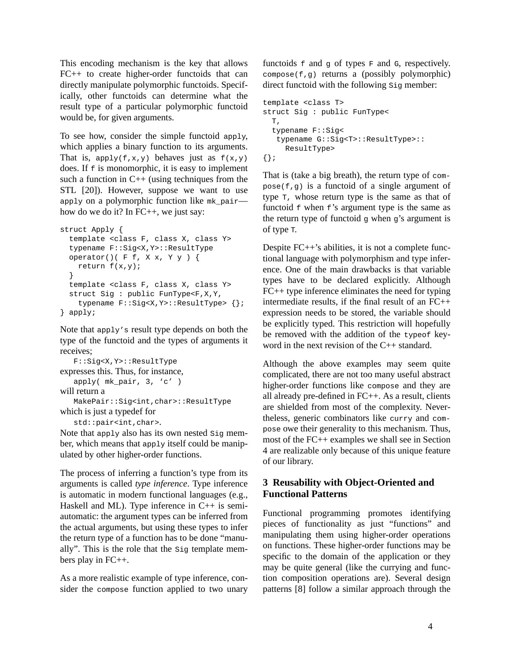<span id="page-3-0"></span>This encoding mechanism is the key that allows FC++ to create higher-order functoids that can directly manipulate polymorphic functoids. Specifically, other functoids can determine what the result type of a particular polymorphic functoid would be, for given arguments.

To see how, consider the simple functoid apply, which applies a binary function to its arguments. That is,  $apply(f,x,y)$  behaves just as  $f(x,y)$ does. If  $f$  is monomorphic, it is easy to implement such a function in  $C++$  (using techniques from the STL [\[20\]\)](#page-13-0). However, suppose we want to use apply on a polymorphic function like mk\_pair how do we do it? In FC++, we just say:

```
struct Apply {
 template <class F, class X, class Y>
  typename F::Sig<X,Y>::ResultType
  operator()( F f, X x, Y y) {
   return f(x,y);
  }
 template <class F, class X, class Y>
 struct Sig : public FunType<F,X,Y,
    typename F::Sig<X,Y>::ResultType> {};
} apply;
```
Note that apply's result type depends on both the type of the functoid and the types of arguments it receives;

```
F::Sig<X,Y>::ResultType
expresses this. Thus, for instance,
   apply( mk_pair, 3, 'c' )
will return a
   MakePair::Sig<int,char>::ResultType
which is just a typedef for
```
std::pair<int,char>.

Note that apply also has its own nested  $\sin \theta$  member, which means that apply itself could be manipulated by other higher-order functions.

The process of inferring a function's type from its arguments is called *type inference*. Type inference is automatic in modern functional languages (e.g., Haskell and ML). Type inference in C++ is semiautomatic: the argument types can be inferred from the actual arguments, but using these types to infer the return type of a function has to be done "manually". This is the role that the Sig template members play in FC++.

As a more realistic example of type inference, consider the compose function applied to two unary functoids  $f$  and  $g$  of types  $F$  and  $G$ , respectively.  $compose(f,q)$  returns a (possibly polymorphic) direct functoid with the following Sig member:

```
template <class T>
struct Sig : public FunType<
  T.
  typename F::Sig<
   typename G::Sig<T>::ResultType>::
     ResultType>
{};
```
That is (take a big breath), the return type of com $pose(f,q)$  is a functoid of a single argument of type T, whose return type is the same as that of functoid  $f$  when  $f$ 's argument type is the same as the return type of functoid  $\alpha$  when  $\alpha$ 's argument is of type T.

Despite FC++'s abilities, it is not a complete functional language with polymorphism and type inference. One of the main drawbacks is that variable types have to be declared explicitly. Although  $FC++$  type inference eliminates the need for typing intermediate results, if the final result of an FC++ expression needs to be stored, the variable should be explicitly typed. This restriction will hopefully be removed with the addition of the typeof keyword in the next revision of the C++ standard.

Although the above examples may seem quite complicated, there are not too many useful abstract higher-order functions like compose and they are all already pre-defined in FC++. As a result, clients are shielded from most of the complexity. Nevertheless, generic combinators like curry and compose owe their generality to this mechanism. Thus, most of the FC++ examples we shall see in [Section](#page-6-0) [4](#page-6-0) are realizable only because of this unique feature of our library.

# **3 Reusability with Object-Oriented and Functional Patterns**

Functional programming promotes identifying pieces of functionality as just "functions" and manipulating them using higher-order operations on functions. These higher-order functions may be specific to the domain of the application or they may be quite general (like the currying and function composition operations are). Several design patterns [\[8\]](#page-12-0) follow a similar approach through the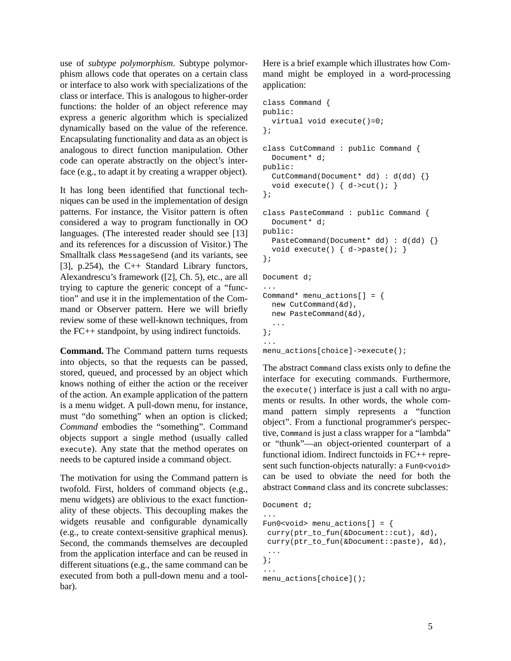use of *subtype polymorphism*. Subtype polymorphism allows code that operates on a certain class or interface to also work with specializations of the class or interface. This is analogous to higher-order functions: the holder of an object reference may express a generic algorithm which is specialized dynamically based on the value of the reference. Encapsulating functionality and data as an object is analogous to direct function manipulation. Other code can operate abstractly on the object's interface (e.g., to adapt it by creating a wrapper object).

It has long been identified that functional techniques can be used in the implementation of design patterns. For instance, the Visitor pattern is often considered a way to program functionally in OO languages. (The interested reader should see [\[13\]](#page-12-0) and its references for a discussion of Visitor.) The Smalltalk class MessageSend (and its variants, see [\[3\],](#page-12-0) p.254), the C++ Standard Library functors, Alexandrescu's framework ([\[2\],](#page-12-0) Ch. 5), etc., are all trying to capture the generic concept of a "function" and use it in the implementation of the Command or Observer pattern. Here we will briefly review some of these well-known techniques, from the FC++ standpoint, by using indirect functoids.

**Command.** The Command pattern turns requests into objects, so that the requests can be passed, stored, queued, and processed by an object which knows nothing of either the action or the receiver of the action. An example application of the pattern is a menu widget. A pull-down menu, for instance, must "do something" when an option is clicked; *Command* embodies the "something". Command objects support a single method (usually called execute). Any state that the method operates on needs to be captured inside a command object.

The motivation for using the Command pattern is twofold. First, holders of command objects (e.g., menu widgets) are oblivious to the exact functionality of these objects. This decoupling makes the widgets reusable and configurable dynamically (e.g., to create context-sensitive graphical menus). Second, the commands themselves are decoupled from the application interface and can be reused in different situations (e.g., the same command can be executed from both a pull-down menu and a toolbar).

Here is a brief example which illustrates how Command might be employed in a word-processing application:

```
class Command {
public:
 virtual void execute()=0;
};
class CutCommand : public Command {
 Document* d;
public:
  CutCommand(Document* dd) : d(dd) {}
  void execute() { d->cut(); }
};
class PasteCommand : public Command {
 Document* d;
public:
  PasteCommand(Document* dd) : d(dd) {}
  void execute() { d->paste(); }
};
Document d;
...
Command* menu_actions[] = \{new CutCommand(&d),
 new PasteCommand(&d),
  ...
};
...
menu_actions[choice]->execute();
```
The abstract Command class exists only to define the interface for executing commands. Furthermore, the execute() interface is just a call with no arguments or results. In other words, the whole command pattern simply represents a "function object". From a functional programmer's perspective, Command is just a class wrapper for a "lambda" or "thunk"—an object-oriented counterpart of a functional idiom. Indirect functoids in FC++ represent such function-objects naturally: a Fun0<void> can be used to obviate the need for both the abstract Command class and its concrete subclasses:

```
Document d;
```
...

```
Fun0<void> menu_actions[] = {
 curry(ptr_to_fun(&Document::cut), &d),
 curry(ptr_to_fun(&Document::paste), &d),
 ...
};
...
menu_actions[choice]();
```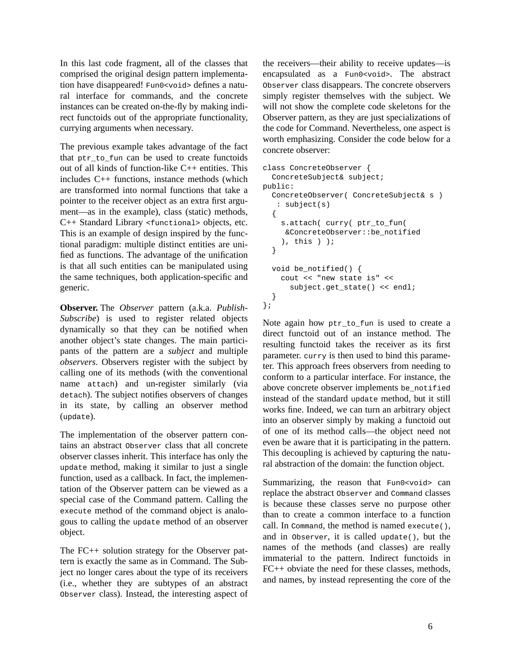In this last code fragment, all of the classes that comprised the original design pattern implementation have disappeared! Fun0<void> defines a natural interface for commands, and the concrete instances can be created on-the-fly by making indirect functoids out of the appropriate functionality, currying arguments when necessary.

The previous example takes advantage of the fact that ptr to fun can be used to create functoids out of all kinds of function-like C++ entities. This includes C++ functions, instance methods (which are transformed into normal functions that take a pointer to the receiver object as an extra first argument—as in the example), class (static) methods, C++ Standard Library <functional> objects, etc. This is an example of design inspired by the functional paradigm: multiple distinct entities are unified as functions. The advantage of the unification is that all such entities can be manipulated using the same techniques, both application-specific and generic.

**Observer.** The *Observer* pattern (a.k.a. *Publish-Subscribe*) is used to register related objects dynamically so that they can be notified when another object's state changes. The main participants of the pattern are a *subject* and multiple *observers*. Observers register with the subject by calling one of its methods (with the conventional name attach) and un-register similarly (via detach). The subject notifies observers of changes in its state, by calling an observer method (update).

The implementation of the observer pattern contains an abstract Observer class that all concrete observer classes inherit. This interface has only the update method, making it similar to just a single function, used as a callback. In fact, the implementation of the Observer pattern can be viewed as a special case of the Command pattern. Calling the execute method of the command object is analogous to calling the update method of an observer object.

The FC++ solution strategy for the Observer pattern is exactly the same as in Command. The Subject no longer cares about the type of its receivers (i.e., whether they are subtypes of an abstract Observer class). Instead, the interesting aspect of the receivers—their ability to receive updates—is encapsulated as a Fun0<void>. The abstract Observer class disappears. The concrete observers simply register themselves with the subject. We will not show the complete code skeletons for the Observer pattern, as they are just specializations of the code for Command. Nevertheless, one aspect is worth emphasizing. Consider the code below for a concrete observer:

```
class ConcreteObserver {
  ConcreteSubject& subject;
public:
  ConcreteObserver( ConcreteSubject& s )
   : subject(s)
  {
    s.attach( curry( ptr_to_fun(
     &ConcreteObserver::be_notified
    ), this ) );
  }
  void be_notified() {
    cout << "new state is" <<
      subject.get_state() << endl;
  }
};
```
Note again how ptr\_to\_fun is used to create a direct functoid out of an instance method. The resulting functoid takes the receiver as its first parameter. curry is then used to bind this parameter. This approach frees observers from needing to conform to a particular interface. For instance, the above concrete observer implements be\_notified instead of the standard update method, but it still works fine. Indeed, we can turn an arbitrary object into an observer simply by making a functoid out of one of its method calls—the object need not even be aware that it is participating in the pattern. This decoupling is achieved by capturing the natural abstraction of the domain: the function object.

Summarizing, the reason that Fun0<void> can replace the abstract Observer and Command classes is because these classes serve no purpose other than to create a common interface to a function call. In Command, the method is named execute(), and in Observer, it is called update(), but the names of the methods (and classes) are really immaterial to the pattern. Indirect functoids in FC++ obviate the need for these classes, methods, and names, by instead representing the core of the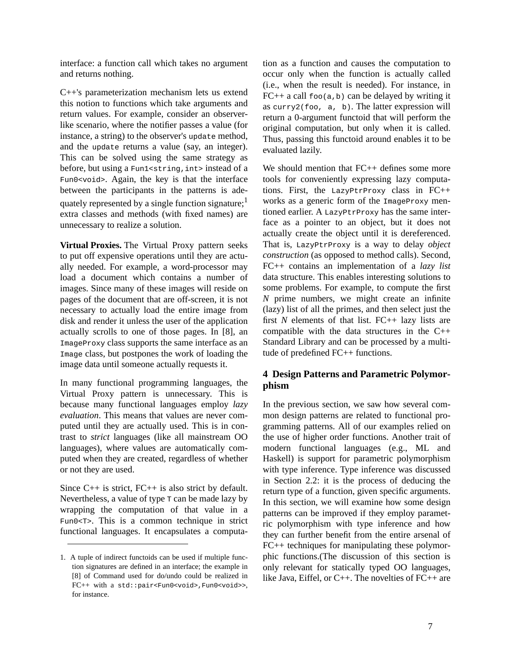<span id="page-6-0"></span>interface: a function call which takes no argument and returns nothing.

C++'s parameterization mechanism lets us extend this notion to functions which take arguments and return values. For example, consider an observerlike scenario, where the notifier passes a value (for instance, a string) to the observer's update method, and the update returns a value (say, an integer). This can be solved using the same strategy as before, but using a Fun1<string,int> instead of a Fun0<void>. Again, the key is that the interface between the participants in the patterns is adequately represented by a single function signature;<sup>1</sup> extra classes and methods (with fixed names) are unnecessary to realize a solution.

**Virtual Proxies.** The Virtual Proxy pattern seeks to put off expensive operations until they are actually needed. For example, a word-processor may load a document which contains a number of images. Since many of these images will reside on pages of the document that are off-screen, it is not necessary to actually load the entire image from disk and render it unless the user of the application actually scrolls to one of those pages. In [\[8\]](#page-12-0), an ImageProxy class supports the same interface as an Image class, but postpones the work of loading the image data until someone actually requests it.

In many functional programming languages, the Virtual Proxy pattern is unnecessary. This is because many functional languages employ *lazy evaluation*. This means that values are never computed until they are actually used. This is in contrast to *strict* languages (like all mainstream OO languages), where values are automatically computed when they are created, regardless of whether or not they are used.

Since  $C_{++}$  is strict,  $FC_{++}$  is also strict by default. Nevertheless, a value of type  $\tau$  can be made lazy by wrapping the computation of that value in a Fun0<T>. This is a common technique in strict functional languages. It encapsulates a computation as a function and causes the computation to occur only when the function is actually called (i.e., when the result is needed). For instance, in  $FC++$  a call  $foo(a,b)$  can be delayed by writing it as curry2(foo, a, b). The latter expression will return a 0-argument functoid that will perform the original computation, but only when it is called. Thus, passing this functoid around enables it to be evaluated lazily.

We should mention that FC++ defines some more tools for conveniently expressing lazy computations. First, the LazyPtrProxy class in FC++ works as a generic form of the ImageProxy mentioned earlier. A LazyPtrProxy has the same interface as a pointer to an object, but it does not actually create the object until it is dereferenced. That is, LazyPtrProxy is a way to delay *object construction* (as opposed to method calls). Second, FC++ contains an implementation of a *lazy list* data structure. This enables interesting solutions to some problems. For example, to compute the first *N* prime numbers, we might create an infinite (lazy) list of all the primes, and then select just the first  $N$  elements of that list.  $FC++$  lazy lists are compatible with the data structures in the C++ Standard Library and can be processed by a multitude of predefined FC++ functions.

## **4 Design Patterns and Parametric Polymorphism**

In the previous section, we saw how several common design patterns are related to functional programming patterns. All of our examples relied on the use of higher order functions. Another trait of modern functional languages (e.g., ML and Haskell) is support for parametric polymorphism with type inference. Type inference was discussed in [Section 2.2:](#page-2-0) it is the process of deducing the return type of a function, given specific arguments. In this section, we will examine how some design patterns can be improved if they employ parametric polymorphism with type inference and how they can further benefit from the entire arsenal of FC++ techniques for manipulating these polymorphic functions.(The discussion of this section is only relevant for statically typed OO languages, like Java, Eiffel, or C++. The novelties of FC++ are

<sup>1.</sup> A tuple of indirect functoids can be used if multiple function signatures are defined in an interface; the example in [\[8\]](#page-12-0) of Command used for do/undo could be realized in FC++ with a std::pair<Fun0<void>,Fun0<void>>, for instance.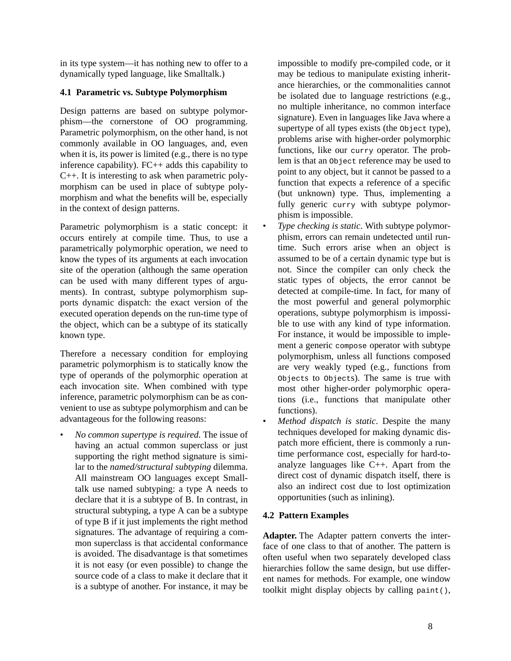in its type system—it has nothing new to offer to a dynamically typed language, like Smalltalk.)

### **4.1 Parametric vs. Subtype Polymorphism**

Design patterns are based on subtype polymorphism—the cornerstone of OO programming. Parametric polymorphism, on the other hand, is not commonly available in OO languages, and, even when it is, its power is limited (e.g., there is no type inference capability). FC++ adds this capability to C++. It is interesting to ask when parametric polymorphism can be used in place of subtype polymorphism and what the benefits will be, especially in the context of design patterns.

Parametric polymorphism is a static concept: it occurs entirely at compile time. Thus, to use a parametrically polymorphic operation, we need to know the types of its arguments at each invocation site of the operation (although the same operation can be used with many different types of arguments). In contrast, subtype polymorphism supports dynamic dispatch: the exact version of the executed operation depends on the run-time type of the object, which can be a subtype of its statically known type.

Therefore a necessary condition for employing parametric polymorphism is to statically know the type of operands of the polymorphic operation at each invocation site. When combined with type inference, parametric polymorphism can be as convenient to use as subtype polymorphism and can be advantageous for the following reasons:

• *No common supertype is required*. The issue of having an actual common superclass or just supporting the right method signature is similar to the *named/structural subtyping* dilemma. All mainstream OO languages except Smalltalk use named subtyping: a type A needs to declare that it is a subtype of B. In contrast, in structural subtyping, a type A can be a subtype of type B if it just implements the right method signatures. The advantage of requiring a common superclass is that accidental conformance is avoided. The disadvantage is that sometimes it is not easy (or even possible) to change the source code of a class to make it declare that it is a subtype of another. For instance, it may be

impossible to modify pre-compiled code, or it may be tedious to manipulate existing inheritance hierarchies, or the commonalities cannot be isolated due to language restrictions (e.g., no multiple inheritance, no common interface signature). Even in languages like Java where a supertype of all types exists (the object type), problems arise with higher-order polymorphic functions, like our curry operator. The problem is that an Object reference may be used to point to any object, but it cannot be passed to a function that expects a reference of a specific (but unknown) type. Thus, implementing a fully generic curry with subtype polymorphism is impossible.

- *Type checking is static*. With subtype polymorphism, errors can remain undetected until runtime. Such errors arise when an object is assumed to be of a certain dynamic type but is not. Since the compiler can only check the static types of objects, the error cannot be detected at compile-time. In fact, for many of the most powerful and general polymorphic operations, subtype polymorphism is impossible to use with any kind of type information. For instance, it would be impossible to implement a generic compose operator with subtype polymorphism, unless all functions composed are very weakly typed (e.g., functions from Objects to Objects). The same is true with most other higher-order polymorphic operations (i.e., functions that manipulate other functions).
- *Method dispatch is static*. Despite the many techniques developed for making dynamic dispatch more efficient, there is commonly a runtime performance cost, especially for hard-toanalyze languages like C++. Apart from the direct cost of dynamic dispatch itself, there is also an indirect cost due to lost optimization opportunities (such as inlining).

## **4.2 Pattern Examples**

**Adapter.** The Adapter pattern converts the interface of one class to that of another. The pattern is often useful when two separately developed class hierarchies follow the same design, but use different names for methods. For example, one window toolkit might display objects by calling paint(),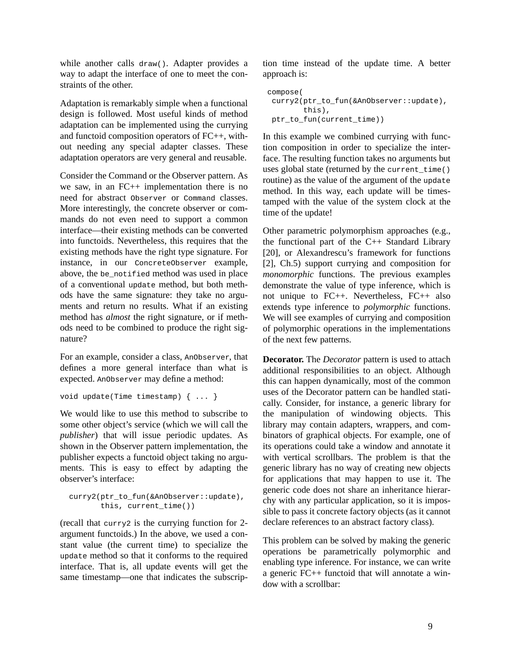while another calls draw(). Adapter provides a way to adapt the interface of one to meet the constraints of the other.

Adaptation is remarkably simple when a functional design is followed. Most useful kinds of method adaptation can be implemented using the currying and functoid composition operators of FC++, without needing any special adapter classes. These adaptation operators are very general and reusable.

Consider the Command or the Observer pattern. As we saw, in an FC++ implementation there is no need for abstract Observer or Command classes. More interestingly, the concrete observer or commands do not even need to support a common interface—their existing methods can be converted into functoids. Nevertheless, this requires that the existing methods have the right type signature. For instance, in our ConcreteObserver example, above, the be\_notified method was used in place of a conventional update method, but both methods have the same signature: they take no arguments and return no results. What if an existing method has *almost* the right signature, or if methods need to be combined to produce the right signature?

For an example, consider a class, AnObserver, that defines a more general interface than what is expected. AnObserver may define a method:

```
void update(Time timestamp) { ... }
```
We would like to use this method to subscribe to some other object's service (which we will call the *publisher*) that will issue periodic updates. As shown in the Observer pattern implementation, the publisher expects a functoid object taking no arguments. This is easy to effect by adapting the observer's interface:

```
curry2(ptr_to_fun(&AnObserver::update),
       this, current_time())
```
(recall that curry2 is the currying function for 2 argument functoids.) In the above, we used a constant value (the current time) to specialize the update method so that it conforms to the required interface. That is, all update events will get the same timestamp—one that indicates the subscrip-

tion time instead of the update time. A better approach is:

```
compose(
 curry2(ptr_to_fun(&AnObserver::update),
        this),
ptr_to_fun(current_time))
```
In this example we combined currying with function composition in order to specialize the interface. The resulting function takes no arguments but uses global state (returned by the current\_time() routine) as the value of the argument of the update method. In this way, each update will be timestamped with the value of the system clock at the time of the update!

Other parametric polymorphism approaches (e.g., the functional part of the C++ Standard Library [\[20\],](#page-13-0) or Alexandrescu's framework for functions [\[2\],](#page-12-0) Ch.5) support currying and composition for *monomorphic* functions. The previous examples demonstrate the value of type inference, which is not unique to FC++. Nevertheless, FC++ also extends type inference to *polymorphic* functions. We will see examples of currying and composition of polymorphic operations in the implementations of the next few patterns.

**Decorator.** The *Decorator* pattern is used to attach additional responsibilities to an object. Although this can happen dynamically, most of the common uses of the Decorator pattern can be handled statically. Consider, for instance, a generic library for the manipulation of windowing objects. This library may contain adapters, wrappers, and combinators of graphical objects. For example, one of its operations could take a window and annotate it with vertical scrollbars. The problem is that the generic library has no way of creating new objects for applications that may happen to use it. The generic code does not share an inheritance hierarchy with any particular application, so it is impossible to pass it concrete factory objects (as it cannot declare references to an abstract factory class).

This problem can be solved by making the generic operations be parametrically polymorphic and enabling type inference. For instance, we can write a generic FC++ functoid that will annotate a window with a scrollbar: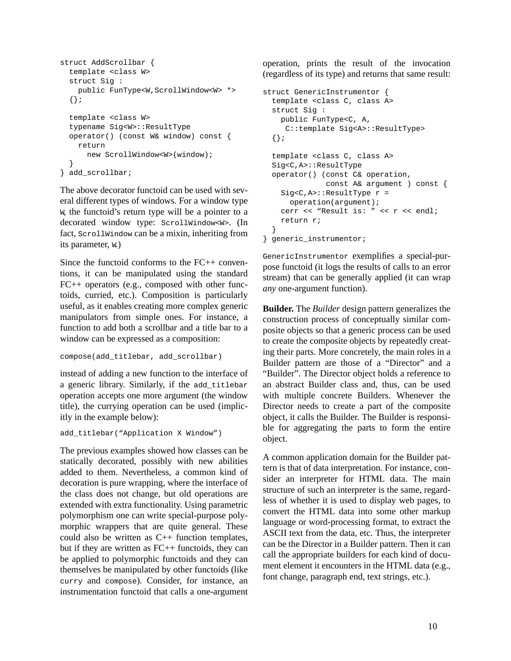```
struct AddScrollbar {
  template <class W>
  struct Sig :
   public FunType<W,ScrollWindow<W> *>
  {};
  template <class W>
  typename Sig<W>::ResultType
  operator() (const W& window) const {
    return
      new ScrollWindow<W>(window);
  }
} add_scrollbar;
```
The above decorator functoid can be used with several different types of windows. For a window type W, the functoid's return type will be a pointer to a decorated window type: ScrollWindow<W>. (In fact, ScrollWindow can be a mixin, inheriting from its parameter,  $W$ .)

Since the functoid conforms to the FC++ conventions, it can be manipulated using the standard FC++ operators (e.g., composed with other functoids, curried, etc.). Composition is particularly useful, as it enables creating more complex generic manipulators from simple ones. For instance, a function to add both a scrollbar and a title bar to a window can be expressed as a composition:

compose(add\_titlebar, add\_scrollbar)

instead of adding a new function to the interface of a generic library. Similarly, if the add\_titlebar operation accepts one more argument (the window title), the currying operation can be used (implicitly in the example below):

add\_titlebar("Application X Window")

The previous examples showed how classes can be statically decorated, possibly with new abilities added to them. Nevertheless, a common kind of decoration is pure wrapping, where the interface of the class does not change, but old operations are extended with extra functionality. Using parametric polymorphism one can write special-purpose polymorphic wrappers that are quite general. These could also be written as C++ function templates, but if they are written as FC++ functoids, they can be applied to polymorphic functoids and they can themselves be manipulated by other functoids (like curry and compose). Consider, for instance, an instrumentation functoid that calls a one-argument operation, prints the result of the invocation (regardless of its type) and returns that same result:

```
struct GenericInstrumentor {
  template <class C, class A>
  struct Sig :
    public FunType<C, A,
     C::template Sig<A>::ResultType>
  {};
  template <class C, class A>
  Sig<C,A>::ResultType
  operator() (const C& operation,
              const A& argument ) const {
    Sig<C,A>::ResultType r =
      operation(argument);
    cerr << "Result is: " << r << endl;
    return r;
  }
} generic_instrumentor;
```
GenericInstrumentor exemplifies a special-purpose functoid (it logs the results of calls to an error stream) that can be generally applied (it can wrap *any* one-argument function).

**Builder.** The *Builder* design pattern generalizes the construction process of conceptually similar composite objects so that a generic process can be used to create the composite objects by repeatedly creating their parts. More concretely, the main roles in a Builder pattern are those of a "Director" and a "Builder". The Director object holds a reference to an abstract Builder class and, thus, can be used with multiple concrete Builders. Whenever the Director needs to create a part of the composite object, it calls the Builder. The Builder is responsible for aggregating the parts to form the entire object.

A common application domain for the Builder pattern is that of data interpretation. For instance, consider an interpreter for HTML data. The main structure of such an interpreter is the same, regardless of whether it is used to display web pages, to convert the HTML data into some other markup language or word-processing format, to extract the ASCII text from the data, etc. Thus, the interpreter can be the Director in a Builder pattern. Then it can call the appropriate builders for each kind of document element it encounters in the HTML data (e.g., font change, paragraph end, text strings, etc.).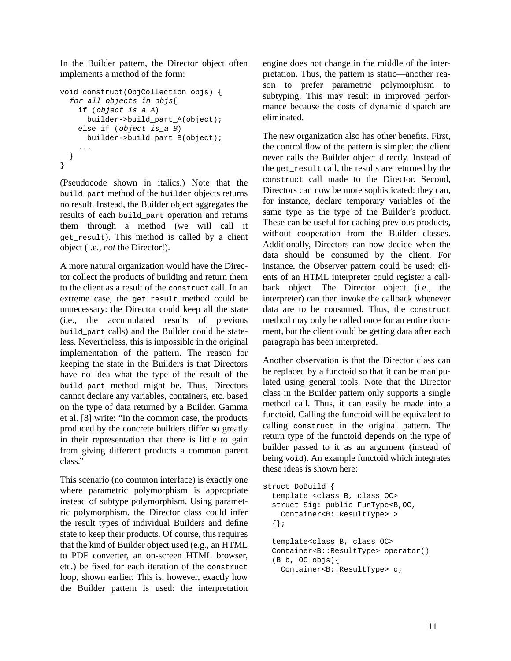In the Builder pattern, the Director object often implements a method of the form:

```
void construct(ObjCollection objs) {
  for all objects in objs{
    if (object is_a A)
      builder->build_part_A(object);
    else if (object is_a B)
      builder->build_part_B(object);
    ...
  }
}
```
(Pseudocode shown in italics.) Note that the build\_part method of the builder objects returns no result. Instead, the Builder object aggregates the results of each build\_part operation and returns them through a method (we will call it get\_result). This method is called by a client object (i.e., *not* the Director!).

A more natural organization would have the Director collect the products of building and return them to the client as a result of the construct call. In an extreme case, the get\_result method could be unnecessary: the Director could keep all the state (i.e., the accumulated results of previous build\_part calls) and the Builder could be stateless. Nevertheless, this is impossible in the original implementation of the pattern. The reason for keeping the state in the Builders is that Directors have no idea what the type of the result of the build\_part method might be. Thus, Directors cannot declare any variables, containers, etc. based on the type of data returned by a Builder. Gamma et al. [\[8\]](#page-12-0) write: "In the common case, the products produced by the concrete builders differ so greatly in their representation that there is little to gain from giving different products a common parent class."

This scenario (no common interface) is exactly one where parametric polymorphism is appropriate instead of subtype polymorphism. Using parametric polymorphism, the Director class could infer the result types of individual Builders and define state to keep their products. Of course, this requires that the kind of Builder object used (e.g., an HTML to PDF converter, an on-screen HTML browser, etc.) be fixed for each iteration of the construct loop, shown earlier. This is, however, exactly how the Builder pattern is used: the interpretation engine does not change in the middle of the interpretation. Thus, the pattern is static—another reason to prefer parametric polymorphism to subtyping. This may result in improved performance because the costs of dynamic dispatch are eliminated.

The new organization also has other benefits. First, the control flow of the pattern is simpler: the client never calls the Builder object directly. Instead of the get\_result call, the results are returned by the construct call made to the Director. Second, Directors can now be more sophisticated: they can, for instance, declare temporary variables of the same type as the type of the Builder's product. These can be useful for caching previous products, without cooperation from the Builder classes. Additionally, Directors can now decide when the data should be consumed by the client. For instance, the Observer pattern could be used: clients of an HTML interpreter could register a callback object. The Director object (i.e., the interpreter) can then invoke the callback whenever data are to be consumed. Thus, the construct method may only be called once for an entire document, but the client could be getting data after each paragraph has been interpreted.

Another observation is that the Director class can be replaced by a functoid so that it can be manipulated using general tools. Note that the Director class in the Builder pattern only supports a single method call. Thus, it can easily be made into a functoid. Calling the functoid will be equivalent to calling construct in the original pattern. The return type of the functoid depends on the type of builder passed to it as an argument (instead of being void). An example functoid which integrates these ideas is shown here:

```
struct DoBuild {
  template <class B, class OC>
  struct Sig: public FunType<B,OC,
    Container<B::ResultType> >
  \{\};
  template<class B, class OC>
  Container<B::ResultType> operator()
  (B b, OC objs){
    Container<B::ResultType> c;
```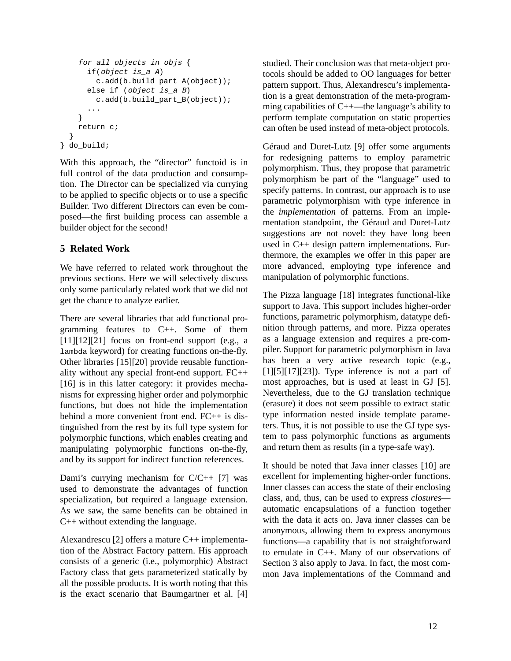```
for all objects in objs {
      if(object is_a A)
        c.add(b.build_part_A(object));
      else if (object is_a B)
        c.add(b.build_part_B(object));
      ...
    }
    return c;
  }
} do_build;
```
With this approach, the "director" functoid is in full control of the data production and consumption. The Director can be specialized via currying to be applied to specific objects or to use a specific Builder. Two different Directors can even be composed—the first building process can assemble a builder object for the second!

## **5 Related Work**

We have referred to related work throughout the previous sections. Here we will selectively discuss only some particularly related work that we did not get the chance to analyze earlier.

There are several libraries that add functional programming features to C++. Some of them  $[11][12][21]$  $[11][12][21]$  focus on front-end support (e.g., a lambda keyword) for creating functions on-the-fly. Other libraries [\[15\]](#page-12-0)[\[20\]](#page-13-0) provide reusable functionality without any special front-end support. FC++ [\[16\]](#page-12-0) is in this latter category: it provides mechanisms for expressing higher order and polymorphic functions, but does not hide the implementation behind a more convenient front end. FC++ is distinguished from the rest by its full type system for polymorphic functions, which enables creating and manipulating polymorphic functions on-the-fly, and by its support for indirect function references.

Dami's currying mechanism for  $C/C++$  [\[7\]](#page-12-0) was used to demonstrate the advantages of function specialization, but required a language extension. As we saw, the same benefits can be obtained in C++ without extending the language.

Alexandrescu [\[2\]](#page-12-0) offers a mature C++ implementation of the Abstract Factory pattern. His approach consists of a generic (i.e., polymorphic) Abstract Factory class that gets parameterized statically by all the possible products. It is worth noting that this is the exact scenario that Baumgartner et al. [\[4\]](#page-12-0) studied. Their conclusion was that meta-object protocols should be added to OO languages for better pattern support. Thus, Alexandrescu's implementation is a great demonstration of the meta-programming capabilities of  $C++$ —the language's ability to perform template computation on static properties can often be used instead of meta-object protocols.

Géraud and Duret-Lutz [\[9\]](#page-12-0) offer some arguments for redesigning patterns to employ parametric polymorphism. Thus, they propose that parametric polymorphism be part of the "language" used to specify patterns. In contrast, our approach is to use parametric polymorphism with type inference in the *implementation* of patterns. From an implementation standpoint, the Géraud and Duret-Lutz suggestions are not novel: they have long been used in C++ design pattern implementations. Furthermore, the examples we offer in this paper are more advanced, employing type inference and manipulation of polymorphic functions.

The Pizza language [\[18\]](#page-13-0) integrates functional-like support to Java. This support includes higher-order functions, parametric polymorphism, datatype definition through patterns, and more. Pizza operates as a language extension and requires a pre-compiler. Support for parametric polymorphism in Java has been a very active research topic (e.g.,  $[1][5][17][23]$  $[1][5][17][23]$ ). Type inference is not a part of most approaches, but is used at least in GJ [\[5\]](#page-12-0). Nevertheless, due to the GJ translation technique (erasure) it does not seem possible to extract static type information nested inside template parameters. Thus, it is not possible to use the GJ type system to pass polymorphic functions as arguments and return them as results (in a type-safe way).

It should be noted that Java inner classes [\[10\]](#page-12-0) are excellent for implementing higher-order functions. Inner classes can access the state of their enclosing class, and, thus, can be used to express *closures* automatic encapsulations of a function together with the data it acts on. Java inner classes can be anonymous, allowing them to express anonymous functions—a capability that is not straightforward to emulate in C++. Many of our observations of [Section 3](#page-3-0) also apply to Java. In fact, the most common Java implementations of the Command and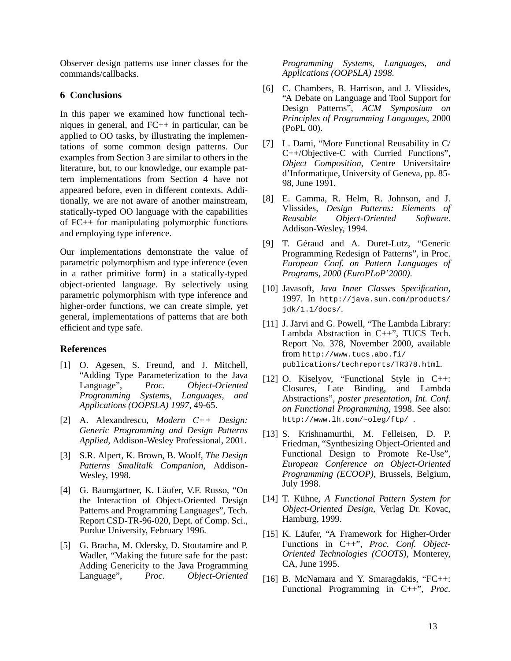<span id="page-12-0"></span>Observer design patterns use inner classes for the commands/callbacks.

#### **6 Conclusions**

In this paper we examined how functional techniques in general, and FC++ in particular, can be applied to OO tasks, by illustrating the implementations of some common design patterns. Our examples from [Section 3](#page-3-0) are similar to others in the literature, but, to our knowledge, our example pattern implementations from [Section 4](#page-6-0) have not appeared before, even in different contexts. Additionally, we are not aware of another mainstream, statically-typed OO language with the capabilities of FC++ for manipulating polymorphic functions and employing type inference.

Our implementations demonstrate the value of parametric polymorphism and type inference (even in a rather primitive form) in a statically-typed object-oriented language. By selectively using parametric polymorphism with type inference and higher-order functions, we can create simple, yet general, implementations of patterns that are both efficient and type safe.

#### **References**

- [1] O. Agesen, S. Freund, and J. Mitchell, "Adding Type Parameterization to the Java Language", *Proc. Object-Oriented Programming Systems, Languages, and Applications (OOPSLA) 1997*, 49-65.
- [2] A. Alexandrescu, *Modern C++ Design: Generic Programming and Design Patterns Applied*, Addison-Wesley Professional, 2001.
- [3] S.R. Alpert, K. Brown, B. Woolf, *The Design Patterns Smalltalk Companion*, Addison-Wesley, 1998.
- [4] G. Baumgartner, K. Läufer, V.F. Russo, "On the Interaction of Object-Oriented Design Patterns and Programming Languages", Tech. Report CSD-TR-96-020, Dept. of Comp. Sci., Purdue University, February 1996.
- [5] G. Bracha, M. Odersky, D. Stoutamire and P. Wadler, "Making the future safe for the past: Adding Genericity to the Java Programming Language", *Proc. Object-Oriented*

*Programming Systems, Languages, and Applications (OOPSLA) 1998*.

- [6] C. Chambers, B. Harrison, and J. Vlissides, "A Debate on Language and Tool Support for Design Patterns", *ACM Symposium on Principles of Programming Languages*, 2000 (PoPL 00).
- [7] L. Dami, "More Functional Reusability in C/ C++/Objective-C with Curried Functions", *Object Composition*, Centre Universitaire d'Informatique, University of Geneva, pp. 85- 98, June 1991.
- [8] E. Gamma, R. Helm, R. Johnson, and J. Vlissides, *Design Patterns: Elements of Reusable Object-Oriented Software*. Addison-Wesley, 1994.
- [9] T. Géraud and A. Duret-Lutz, "Generic Programming Redesign of Patterns", in Proc. *European Conf. on Pattern Languages of Programs, 2000 (EuroPLoP'2000)*.
- [10] Javasoft, *Java Inner Classes Specification*, 1997. In http://java.sun.com/products/ jdk/1.1/docs/.
- [11] J. Järvi and G. Powell, "The Lambda Library: Lambda Abstraction in C++", TUCS Tech. Report No. 378, November 2000, available from http://www.tucs.abo.fi/ publications/techreports/TR378.html.
- [12] O. Kiselyov, "Functional Style in C++: Closures, Late Binding, and Lambda Abstractions", *poster presentation, Int. Conf. on Functional Programming*, 1998. See also: http://www.lh.com/~oleg/ftp/ .
- [13] S. Krishnamurthi, M. Felleisen, D. P. Friedman, "Synthesizing Object-Oriented and Functional Design to Promote Re-Use", *European Conference on Object-Oriented Programming (ECOOP)*, Brussels, Belgium, July 1998.
- [14] T. Kühne, *A Functional Pattern System for Object-Oriented Design*, Verlag Dr. Kovac, Hamburg, 1999.
- [15] K. Läufer, "A Framework for Higher-Order Functions in C++", *Proc. Conf. Object-Oriented Technologies (COOTS)*, Monterey, CA, June 1995.
- [16] B. McNamara and Y. Smaragdakis, "FC++: Functional Programming in C++", *Proc.*